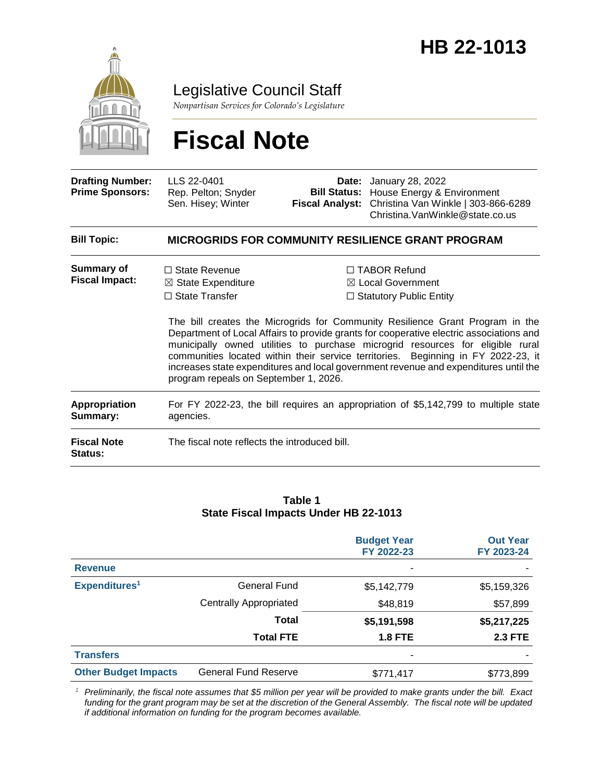

Legislative Council Staff

*Nonpartisan Services for Colorado's Legislature*

# **Fiscal Note**

| <b>Drafting Number:</b><br><b>Prime Sponsors:</b> | LLS 22-0401<br>Rep. Pelton; Snyder<br>Sen. Hisey; Winter                                                                | <b>Fiscal Analyst:</b> | <b>Date:</b> January 28, 2022<br><b>Bill Status:</b> House Energy & Environment<br>Christina Van Winkle   303-866-6289<br>Christina. VanWinkle@state.co.us                                                                                                                                                                                                                                                                                                                                                                       |  |
|---------------------------------------------------|-------------------------------------------------------------------------------------------------------------------------|------------------------|----------------------------------------------------------------------------------------------------------------------------------------------------------------------------------------------------------------------------------------------------------------------------------------------------------------------------------------------------------------------------------------------------------------------------------------------------------------------------------------------------------------------------------|--|
| <b>Bill Topic:</b>                                |                                                                                                                         |                        | <b>MICROGRIDS FOR COMMUNITY RESILIENCE GRANT PROGRAM</b>                                                                                                                                                                                                                                                                                                                                                                                                                                                                         |  |
| <b>Summary of</b><br><b>Fiscal Impact:</b>        | $\Box$ State Revenue<br>$\boxtimes$ State Expenditure<br>$\Box$ State Transfer<br>program repeals on September 1, 2026. |                        | $\Box$ TABOR Refund<br>$\boxtimes$ Local Government<br>$\Box$ Statutory Public Entity<br>The bill creates the Microgrids for Community Resilience Grant Program in the<br>Department of Local Affairs to provide grants for cooperative electric associations and<br>municipally owned utilities to purchase microgrid resources for eligible rural<br>communities located within their service territories. Beginning in FY 2022-23, it<br>increases state expenditures and local government revenue and expenditures until the |  |
| <b>Appropriation</b><br>Summary:                  | For FY 2022-23, the bill requires an appropriation of \$5,142,799 to multiple state<br>agencies.                        |                        |                                                                                                                                                                                                                                                                                                                                                                                                                                                                                                                                  |  |
| <b>Fiscal Note</b><br><b>Status:</b>              | The fiscal note reflects the introduced bill.                                                                           |                        |                                                                                                                                                                                                                                                                                                                                                                                                                                                                                                                                  |  |

#### **Table 1 State Fiscal Impacts Under HB 22-1013**

|                             |                               | <b>Budget Year</b><br>FY 2022-23 | <b>Out Year</b><br>FY 2023-24 |
|-----------------------------|-------------------------------|----------------------------------|-------------------------------|
| <b>Revenue</b>              |                               |                                  |                               |
| Expenditures <sup>1</sup>   | <b>General Fund</b>           | \$5,142,779                      | \$5,159,326                   |
|                             | <b>Centrally Appropriated</b> | \$48,819                         | \$57,899                      |
|                             | <b>Total</b>                  | \$5,191,598                      | \$5,217,225                   |
|                             | <b>Total FTE</b>              | <b>1.8 FTE</b>                   | <b>2.3 FTE</b>                |
| <b>Transfers</b>            |                               | ۰                                |                               |
| <b>Other Budget Impacts</b> | <b>General Fund Reserve</b>   | \$771,417                        | \$773,899                     |

*<sup>1</sup> Preliminarily, the fiscal note assumes that \$5 million per year will be provided to make grants under the bill. Exact funding for the grant program may be set at the discretion of the General Assembly. The fiscal note will be updated if additional information on funding for the program becomes available.*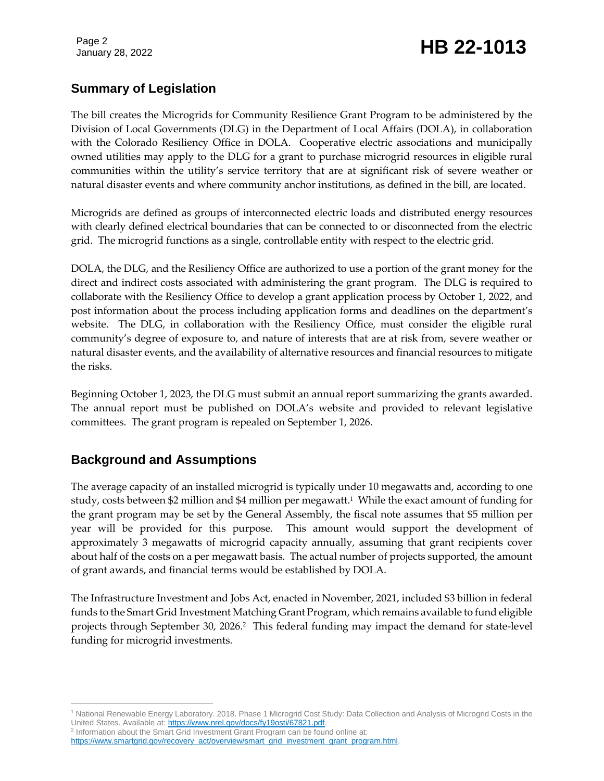Page 2

# January 28, 2022 **HB 22-1013**

### **Summary of Legislation**

The bill creates the Microgrids for Community Resilience Grant Program to be administered by the Division of Local Governments (DLG) in the Department of Local Affairs (DOLA), in collaboration with the Colorado Resiliency Office in DOLA. Cooperative electric associations and municipally owned utilities may apply to the DLG for a grant to purchase microgrid resources in eligible rural communities within the utility's service territory that are at significant risk of severe weather or natural disaster events and where community anchor institutions, as defined in the bill, are located.

Microgrids are defined as groups of interconnected electric loads and distributed energy resources with clearly defined electrical boundaries that can be connected to or disconnected from the electric grid. The microgrid functions as a single, controllable entity with respect to the electric grid.

DOLA, the DLG, and the Resiliency Office are authorized to use a portion of the grant money for the direct and indirect costs associated with administering the grant program. The DLG is required to collaborate with the Resiliency Office to develop a grant application process by October 1, 2022, and post information about the process including application forms and deadlines on the department's website. The DLG, in collaboration with the Resiliency Office, must consider the eligible rural community's degree of exposure to, and nature of interests that are at risk from, severe weather or natural disaster events, and the availability of alternative resources and financial resources to mitigate the risks.

Beginning October 1, 2023, the DLG must submit an annual report summarizing the grants awarded. The annual report must be published on DOLA's website and provided to relevant legislative committees. The grant program is repealed on September 1, 2026.

# **Background and Assumptions**

The average capacity of an installed microgrid is typically under 10 megawatts and, according to one study, costs between \$2 million and \$4 million per megawatt. 1 While the exact amount of funding for the grant program may be set by the General Assembly, the fiscal note assumes that \$5 million per year will be provided for this purpose. This amount would support the development of approximately 3 megawatts of microgrid capacity annually, assuming that grant recipients cover about half of the costs on a per megawatt basis. The actual number of projects supported, the amount of grant awards, and financial terms would be established by DOLA.

The Infrastructure Investment and Jobs Act, enacted in November, 2021, included \$3 billion in federal funds to the Smart Grid Investment Matching Grant Program, which remains available to fund eligible projects through September 30, 2026. 2 This federal funding may impact the demand for state-level funding for microgrid investments.

<sup>2</sup> Information about the Smart Grid Investment Grant Program can be found online at:

https://www.smartgrid.gov/recovery\_act/overview/smart\_grid\_investment\_grant\_program.html

 $\overline{a}$ <sup>1</sup> National Renewable Energy Laboratory. 2018. Phase 1 Microgrid Cost Study: Data Collection and Analysis of Microgrid Costs in the United States. Available at[: https://www.nrel.gov/docs/fy19osti/67821.pdf.](https://www.nrel.gov/docs/fy19osti/67821.pdf)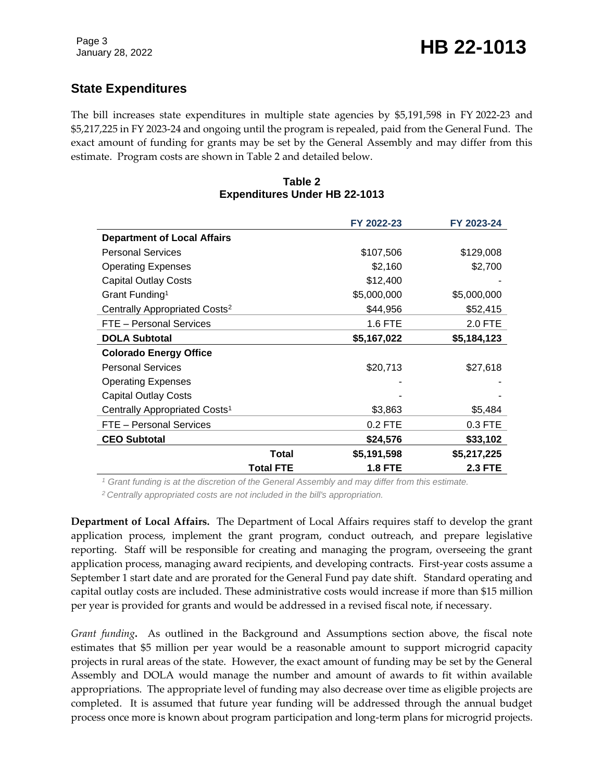# **State Expenditures**

The bill increases state expenditures in multiple state agencies by \$5,191,598 in FY 2022-23 and \$5,217,225 in FY 2023-24 and ongoing until the program is repealed, paid from the General Fund. The exact amount of funding for grants may be set by the General Assembly and may differ from this estimate. Program costs are shown in Table 2 and detailed below.

#### **Table 2 Expenditures Under HB 22-1013**

|                                           |                  | FY 2022-23     | FY 2023-24     |
|-------------------------------------------|------------------|----------------|----------------|
| <b>Department of Local Affairs</b>        |                  |                |                |
| <b>Personal Services</b>                  |                  | \$107,506      | \$129,008      |
| <b>Operating Expenses</b>                 |                  | \$2,160        | \$2,700        |
| <b>Capital Outlay Costs</b>               |                  | \$12,400       |                |
| Grant Funding <sup>1</sup>                |                  | \$5,000,000    | \$5,000,000    |
| Centrally Appropriated Costs <sup>2</sup> |                  | \$44,956       | \$52,415       |
| FTE - Personal Services                   |                  | 1.6 FTE        | 2.0 FTE        |
| <b>DOLA Subtotal</b>                      |                  | \$5,167,022    | \$5,184,123    |
| <b>Colorado Energy Office</b>             |                  |                |                |
| <b>Personal Services</b>                  |                  | \$20,713       | \$27,618       |
| <b>Operating Expenses</b>                 |                  |                |                |
| <b>Capital Outlay Costs</b>               |                  |                |                |
| Centrally Appropriated Costs <sup>1</sup> |                  | \$3,863        | \$5,484        |
| FTE - Personal Services                   |                  | $0.2$ FTE      | 0.3 FTE        |
| <b>CEO Subtotal</b>                       |                  | \$24,576       | \$33,102       |
|                                           | <b>Total</b>     | \$5,191,598    | \$5,217,225    |
|                                           | <b>Total FTE</b> | <b>1.8 FTE</b> | <b>2.3 FTE</b> |

*<sup>1</sup> Grant funding is at the discretion of the General Assembly and may differ from this estimate.*

*<sup>2</sup> Centrally appropriated costs are not included in the bill's appropriation.*

**Department of Local Affairs.** The Department of Local Affairs requires staff to develop the grant application process, implement the grant program, conduct outreach, and prepare legislative reporting. Staff will be responsible for creating and managing the program, overseeing the grant application process, managing award recipients, and developing contracts. First-year costs assume a September 1 start date and are prorated for the General Fund pay date shift. Standard operating and capital outlay costs are included. These administrative costs would increase if more than \$15 million per year is provided for grants and would be addressed in a revised fiscal note, if necessary.

*Grant funding***.** As outlined in the Background and Assumptions section above, the fiscal note estimates that \$5 million per year would be a reasonable amount to support microgrid capacity projects in rural areas of the state. However, the exact amount of funding may be set by the General Assembly and DOLA would manage the number and amount of awards to fit within available appropriations. The appropriate level of funding may also decrease over time as eligible projects are completed. It is assumed that future year funding will be addressed through the annual budget process once more is known about program participation and long-term plans for microgrid projects.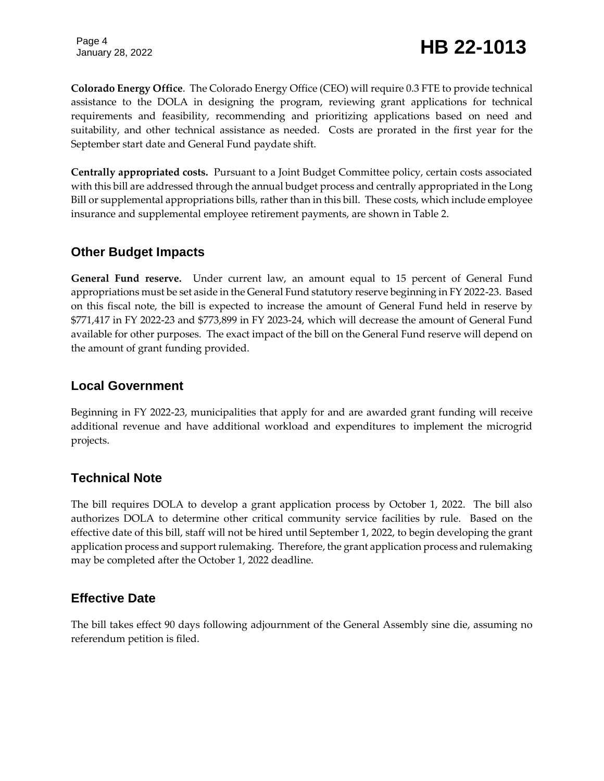**Colorado Energy Office**. The Colorado Energy Office (CEO) will require 0.3 FTE to provide technical assistance to the DOLA in designing the program, reviewing grant applications for technical requirements and feasibility, recommending and prioritizing applications based on need and suitability, and other technical assistance as needed. Costs are prorated in the first year for the September start date and General Fund paydate shift.

**Centrally appropriated costs.** Pursuant to a Joint Budget Committee policy, certain costs associated with this bill are addressed through the annual budget process and centrally appropriated in the Long Bill or supplemental appropriations bills, rather than in this bill. These costs, which include employee insurance and supplemental employee retirement payments, are shown in Table 2.

#### **Other Budget Impacts**

**General Fund reserve.** Under current law, an amount equal to 15 percent of General Fund appropriations must be set aside in the General Fund statutory reserve beginning in FY 2022-23. Based on this fiscal note, the bill is expected to increase the amount of General Fund held in reserve by \$771,417 in FY 2022-23 and \$773,899 in FY 2023-24, which will decrease the amount of General Fund available for other purposes. The exact impact of the bill on the General Fund reserve will depend on the amount of grant funding provided.

### **Local Government**

Beginning in FY 2022-23, municipalities that apply for and are awarded grant funding will receive additional revenue and have additional workload and expenditures to implement the microgrid projects.

# **Technical Note**

The bill requires DOLA to develop a grant application process by October 1, 2022. The bill also authorizes DOLA to determine other critical community service facilities by rule. Based on the effective date of this bill, staff will not be hired until September 1, 2022, to begin developing the grant application process and support rulemaking. Therefore, the grant application process and rulemaking may be completed after the October 1, 2022 deadline.

# **Effective Date**

The bill takes effect 90 days following adjournment of the General Assembly sine die, assuming no referendum petition is filed.